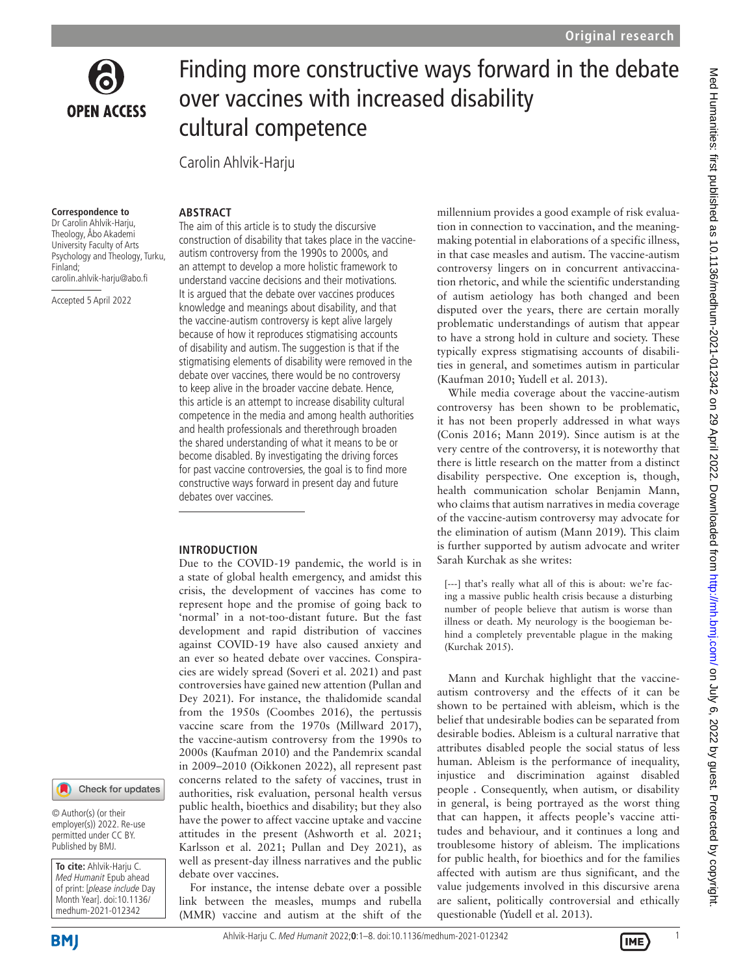

# Finding more constructive ways forward in the debate over vaccines with increased disability cultural competence

Carolin Ahlvik-Harju

#### **Correspondence to**

Dr Carolin Ahlvik-Harju, Theology, Åbo Akademi University Faculty of Arts Psychology and Theology, Turku, Finland; carolin.ahlvik-harju@abo.fi

Accepted 5 April 2022

#### **ARSTRACT**

The aim of this article is to study the discursive construction of disability that takes place in the vaccineautism controversy from the 1990s to 2000s, and an attempt to develop a more holistic framework to understand vaccine decisions and their motivations. It is argued that the debate over vaccines produces knowledge and meanings about disability, and that the vaccine-autism controversy is kept alive largely because of how it reproduces stigmatising accounts of disability and autism. The suggestion is that if the stigmatising elements of disability were removed in the debate over vaccines, there would be no controversy to keep alive in the broader vaccine debate. Hence, this article is an attempt to increase disability cultural competence in the media and among health authorities and health professionals and therethrough broaden the shared understanding of what it means to be or become disabled. By investigating the driving forces for past vaccine controversies, the goal is to find more constructive ways forward in present day and future debates over vaccines.

#### **INTRODUCTION**

Due to the COVID-19 pandemic, the world is in a state of global health emergency, and amidst this crisis, the development of vaccines has come to represent hope and the promise of going back to 'normal' in a not-too-distant future. But the fast development and rapid distribution of vaccines against COVID-19 have also caused anxiety and an ever so heated debate over vaccines. Conspiracies are widely spread [\(Soveri et](#page-7-0) al. 2021) and past controversies have gained new attention ([Pullan and](#page-7-1) [Dey 2021](#page-7-1)). For instance, the thalidomide scandal from the 1950s ([Coombes 2016](#page-6-0)), the pertussis vaccine scare from the 1970s ([Millward 2017\)](#page-7-2), the vaccine-autism controversy from the 1990s to 2000s ([Kaufman 2010\)](#page-7-3) and the Pandemrix scandal in 2009–2010 ([Oikkonen 2022](#page-7-4)), all represent past concerns related to the safety of vaccines, trust in authorities, risk evaluation, personal health versus public health, bioethics and disability; but they also have the power to affect vaccine uptake and vaccine attitudes in the present [\(Ashworth et](#page-6-1) al. 2021; [Karlsson et](#page-7-5) al. 2021; [Pullan and Dey 2021](#page-7-1)), as well as present-day illness narratives and the public debate over vaccines.

For instance, the intense debate over a possible link between the measles, mumps and rubella (MMR) vaccine and autism at the shift of the millennium provides a good example of risk evaluation in connection to vaccination, and the meaningmaking potential in elaborations of a specific illness, in that case measles and autism. The vaccine-autism controversy lingers on in concurrent antivaccination rhetoric, and while the scientific understanding of autism aetiology has both changed and been disputed over the years, there are certain morally problematic understandings of autism that appear to have a strong hold in culture and society. These typically express stigmatising accounts of disabilities in general, and sometimes autism in particular ([Kaufman 2010](#page-7-3); [Yudell et](#page-7-6) al. 2013).

While media coverage about the vaccine-autism controversy has been shown to be problematic, it has not been properly addressed in what ways ([Conis 2016;](#page-6-2) [Mann 2019](#page-7-7)). Since autism is at the very centre of the controversy, it is noteworthy that there is little research on the matter from a distinct disability perspective. One exception is, though, health communication scholar Benjamin Mann, who claims that autism narratives in media coverage of the vaccine-autism controversy may advocate for the elimination of autism ([Mann 2019\)](#page-7-7)*.* This claim is further supported by autism advocate and writer Sarah Kurchak as she writes:

[---] that's really what all of this is about: we're facing a massive public health crisis because a disturbing number of people believe that autism is worse than illness or death. My neurology is the boogieman behind a completely preventable plague in the making [\(Kurchak 2015](#page-7-8)).

Mann and Kurchak highlight that the vaccineautism controversy and the effects of it can be shown to be pertained with ableism, which is the belief that undesirable bodies can be separated from desirable bodies. Ableism is a cultural narrative that attributes disabled people the social status of less human. Ableism is the performance of inequality, injustice and discrimination against disabled people . Consequently, when autism, or disability in general, is being portrayed as the worst thing that can happen, it affects people's vaccine attitudes and behaviour, and it continues a long and troublesome history of ableism. The implications for public health, for bioethics and for the families affected with autism are thus significant, and the value judgements involved in this discursive arena are salient, politically controversial and ethically questionable ([Yudell et](#page-7-6) al. 2013).

**To cite:** Ahlvik-Harju C. Med Humanit Epub ahead of print: [please include Day Month Year]. doi:10.1136/ medhum-2021-012342

© Author(s) (or their employer(s)) 2022. Re-use permitted under CC BY. Published by BMJ.

Check for updates

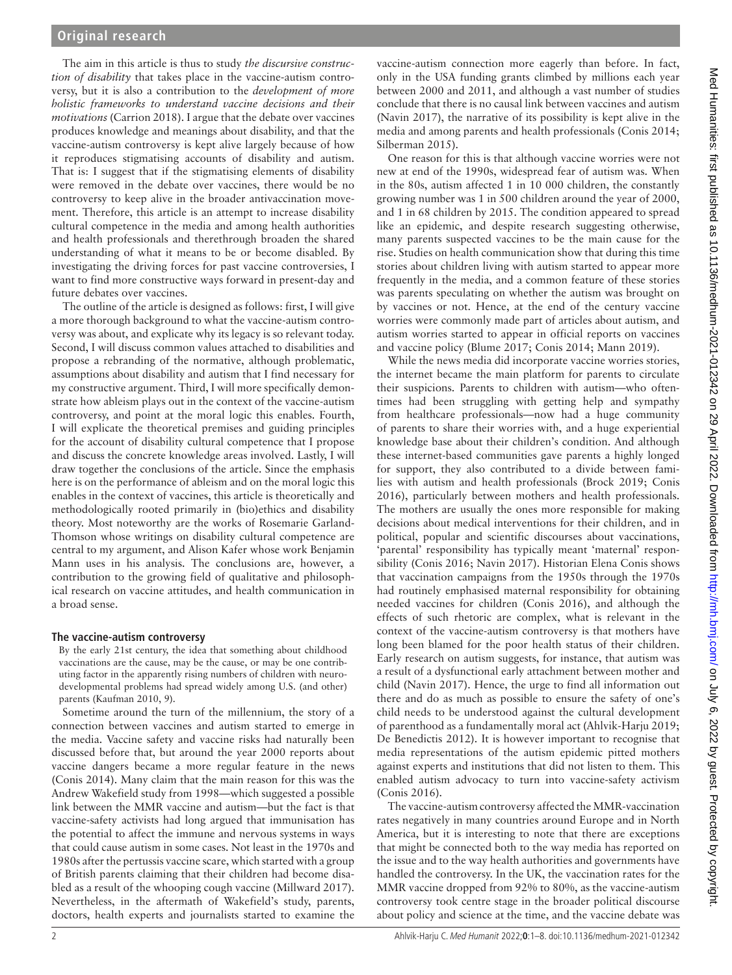# **Original research**

The aim in this article is thus to study *the discursive construction of disability* that takes place in the vaccine-autism controversy, but it is also a contribution to the *development of more holistic frameworks to understand vaccine decisions and their motivations* [\(Carrion 2018\)](#page-6-3). I argue that the debate over vaccines produces knowledge and meanings about disability, and that the vaccine-autism controversy is kept alive largely because of how it reproduces stigmatising accounts of disability and autism. That is: I suggest that if the stigmatising elements of disability were removed in the debate over vaccines, there would be no controversy to keep alive in the broader antivaccination movement. Therefore, this article is an attempt to increase disability cultural competence in the media and among health authorities and health professionals and therethrough broaden the shared understanding of what it means to be or become disabled. By investigating the driving forces for past vaccine controversies, I want to find more constructive ways forward in present-day and future debates over vaccines.

The outline of the article is designed as follows: first, I will give a more thorough background to what the vaccine-autism controversy was about, and explicate why its legacy is so relevant today. Second, I will discuss common values attached to disabilities and propose a rebranding of the normative, although problematic, assumptions about disability and autism that I find necessary for my constructive argument. Third, I will more specifically demonstrate how ableism plays out in the context of the vaccine-autism controversy, and point at the moral logic this enables. Fourth, I will explicate the theoretical premises and guiding principles for the account of disability cultural competence that I propose and discuss the concrete knowledge areas involved. Lastly, I will draw together the conclusions of the article. Since the emphasis here is on the performance of ableism and on the moral logic this enables in the context of vaccines, this article is theoretically and methodologically rooted primarily in (bio)ethics and disability theory. Most noteworthy are the works of Rosemarie Garland-Thomson whose writings on disability cultural competence are central to my argument, and Alison Kafer whose work Benjamin Mann uses in his analysis. The conclusions are, however, a contribution to the growing field of qualitative and philosophical research on vaccine attitudes, and health communication in a broad sense.

## **The vaccine-autism controversy**

By the early 21st century, the idea that something about childhood vaccinations are the cause, may be the cause, or may be one contributing factor in the apparently rising numbers of children with neurodevelopmental problems had spread widely among U.S. (and other) parents ([Kaufman 2010](#page-7-3), 9).

Sometime around the turn of the millennium, the story of a connection between vaccines and autism started to emerge in the media. Vaccine safety and vaccine risks had naturally been discussed before that, but around the year 2000 reports about vaccine dangers became a more regular feature in the news ([Conis 2014](#page-6-4)). Many claim that the main reason for this was the Andrew Wakefield study from 1998—which suggested a possible link between the MMR vaccine and autism—but the fact is that vaccine-safety activists had long argued that immunisation has the potential to affect the immune and nervous systems in ways that could cause autism in some cases. Not least in the 1970s and 1980s after the pertussis vaccine scare, which started with a group of British parents claiming that their children had become disabled as a result of the whooping cough vaccine [\(Millward 2017](#page-7-2)). Nevertheless, in the aftermath of Wakefield's study, parents, doctors, health experts and journalists started to examine the

vaccine-autism connection more eagerly than before. In fact, only in the USA funding grants climbed by millions each year between 2000 and 2011, and although a vast number of studies conclude that there is no causal link between vaccines and autism ([Navin 2017](#page-7-9)), the narrative of its possibility is kept alive in the media and among parents and health professionals ([Conis 2014](#page-6-4); [Silberman 2015\)](#page-7-10).

One reason for this is that although vaccine worries were not new at end of the 1990s, widespread fear of autism was. When in the 80s, autism affected 1 in 10 000 children, the constantly growing number was 1 in 500 children around the year of 2000, and 1 in 68 children by 2015. The condition appeared to spread like an epidemic, and despite research suggesting otherwise, many parents suspected vaccines to be the main cause for the rise. Studies on health communication show that during this time stories about children living with autism started to appear more frequently in the media, and a common feature of these stories was parents speculating on whether the autism was brought on by vaccines or not. Hence, at the end of the century vaccine worries were commonly made part of articles about autism, and autism worries started to appear in official reports on vaccines and vaccine policy [\(Blume 2017](#page-6-5); [Conis 2014;](#page-6-4) [Mann 2019\)](#page-7-7).

While the news media did incorporate vaccine worries stories, the internet became the main platform for parents to circulate their suspicions. Parents to children with autism—who oftentimes had been struggling with getting help and sympathy from healthcare professionals—now had a huge community of parents to share their worries with, and a huge experiential knowledge base about their children's condition. And although these internet-based communities gave parents a highly longed for support, they also contributed to a divide between families with autism and health professionals [\(Brock 2019;](#page-6-6) [Conis](#page-6-2) [2016\)](#page-6-2), particularly between mothers and health professionals. The mothers are usually the ones more responsible for making decisions about medical interventions for their children, and in political, popular and scientific discourses about vaccinations, 'parental' responsibility has typically meant 'maternal' responsibility ([Conis 2016](#page-6-2); [Navin 2017\)](#page-7-9). Historian Elena Conis shows that vaccination campaigns from the 1950s through the 1970s had routinely emphasised maternal responsibility for obtaining needed vaccines for children ([Conis 2016](#page-6-2)), and although the effects of such rhetoric are complex, what is relevant in the context of the vaccine-autism controversy is that mothers have long been blamed for the poor health status of their children. Early research on autism suggests, for instance, that autism was a result of a dysfunctional early attachment between mother and child [\(Navin 2017\)](#page-7-9). Hence, the urge to find all information out there and do as much as possible to ensure the safety of one's child needs to be understood against the cultural development of parenthood as a fundamentally moral act ([Ahlvik-Harju 2019](#page-6-7); [De Benedictis 2012](#page-6-8)). It is however important to recognise that media representations of the autism epidemic pitted mothers against experts and institutions that did not listen to them. This enabled autism advocacy to turn into vaccine-safety activism ([Conis 2016\)](#page-6-2).

The vaccine-autism controversy affected the MMR-vaccination rates negatively in many countries around Europe and in North America, but it is interesting to note that there are exceptions that might be connected both to the way media has reported on the issue and to the way health authorities and governments have handled the controversy. In the UK, the vaccination rates for the MMR vaccine dropped from 92% to 80%, as the vaccine-autism controversy took centre stage in the broader political discourse about policy and science at the time, and the vaccine debate was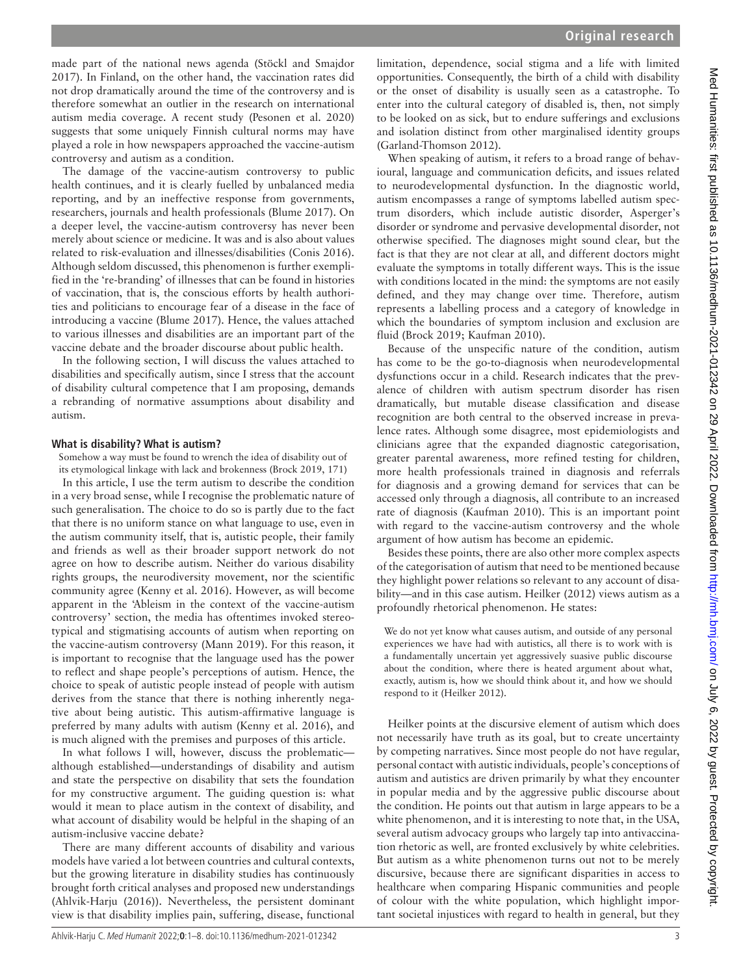made part of the national news agenda ([Stöckl and Smajdor](#page-7-11)  [2017](#page-7-11)). In Finland, on the other hand, the vaccination rates did not drop dramatically around the time of the controversy and is therefore somewhat an outlier in the research on international autism media coverage. A recent study ([Pesonen et](#page-7-12) al. 2020) suggests that some uniquely Finnish cultural norms may have played a role in how newspapers approached the vaccine-autism controversy and autism as a condition.

The damage of the vaccine-autism controversy to public health continues, and it is clearly fuelled by unbalanced media reporting, and by an ineffective response from governments, researchers, journals and health professionals [\(Blume 2017](#page-6-5)). On a deeper level, the vaccine-autism controversy has never been merely about science or medicine. It was and is also about values related to risk-evaluation and illnesses/disabilities ([Conis 2016](#page-6-2)). Although seldom discussed, this phenomenon is further exemplified in the 're-branding' of illnesses that can be found in histories of vaccination, that is, the conscious efforts by health authorities and politicians to encourage fear of a disease in the face of introducing a vaccine [\(Blume 2017](#page-6-5)). Hence, the values attached to various illnesses and disabilities are an important part of the vaccine debate and the broader discourse about public health.

In the following section, I will discuss the values attached to disabilities and specifically autism, since I stress that the account of disability cultural competence that I am proposing, demands a rebranding of normative assumptions about disability and autism.

#### **What is disability? What is autism?**

Somehow a way must be found to wrench the idea of disability out of its etymological linkage with lack and brokenness ([Brock 2019](#page-6-6), 171)

In this article, I use the term autism to describe the condition in a very broad sense, while I recognise the problematic nature of such generalisation. The choice to do so is partly due to the fact that there is no uniform stance on what language to use, even in the autism community itself, that is, autistic people, their family and friends as well as their broader support network do not agree on how to describe autism. Neither do various disability rights groups, the neurodiversity movement, nor the scientific community agree [\(Kenny et](#page-7-13) al. 2016). However, as will become apparent in the 'Ableism in the context of the vaccine-autism controversy' section, the media has oftentimes invoked stereotypical and stigmatising accounts of autism when reporting on the vaccine-autism controversy ([Mann 2019\)](#page-7-7). For this reason, it is important to recognise that the language used has the power to reflect and shape people's perceptions of autism. Hence, the choice to speak of autistic people instead of people with autism derives from the stance that there is nothing inherently negative about being autistic. This autism-affirmative language is preferred by many adults with autism [\(Kenny et](#page-7-13) al. 2016), and is much aligned with the premises and purposes of this article.

In what follows I will, however, discuss the problematic although established—understandings of disability and autism and state the perspective on disability that sets the foundation for my constructive argument. The guiding question is: what would it mean to place autism in the context of disability, and what account of disability would be helpful in the shaping of an autism-inclusive vaccine debate?

There are many different accounts of disability and various models have varied a lot between countries and cultural contexts, but the growing literature in disability studies has continuously brought forth critical analyses and proposed new understandings ([Ahlvik-Harju \(2016\)](#page-6-9)). Nevertheless, the persistent dominant view is that disability implies pain, suffering, disease, functional

When speaking of autism, it refers to a broad range of behavioural, language and communication deficits, and issues related to neurodevelopmental dysfunction. In the diagnostic world, autism encompasses a range of symptoms labelled autism spectrum disorders, which include autistic disorder, Asperger's disorder or syndrome and pervasive developmental disorder, not otherwise specified. The diagnoses might sound clear, but the fact is that they are not clear at all, and different doctors might evaluate the symptoms in totally different ways. This is the issue with conditions located in the mind: the symptoms are not easily defined, and they may change over time. Therefore, autism represents a labelling process and a category of knowledge in which the boundaries of symptom inclusion and exclusion are fluid [\(Brock 2019](#page-6-6); [Kaufman 2010\)](#page-7-3).

Because of the unspecific nature of the condition, autism has come to be the go-to-diagnosis when neurodevelopmental dysfunctions occur in a child. Research indicates that the prevalence of children with autism spectrum disorder has risen dramatically, but mutable disease classification and disease recognition are both central to the observed increase in prevalence rates. Although some disagree, most epidemiologists and clinicians agree that the expanded diagnostic categorisation, greater parental awareness, more refined testing for children, more health professionals trained in diagnosis and referrals for diagnosis and a growing demand for services that can be accessed only through a diagnosis, all contribute to an increased rate of diagnosis [\(Kaufman 2010](#page-7-3)). This is an important point with regard to the vaccine-autism controversy and the whole argument of how autism has become an epidemic.

Besides these points, there are also other more complex aspects of the categorisation of autism that need to be mentioned because they highlight power relations so relevant to any account of disability—and in this case autism. [Heilker \(2012\)](#page-7-14) views autism as a profoundly rhetorical phenomenon. He states:

We do not yet know what causes autism, and outside of any personal experiences we have had with autistics, all there is to work with is a fundamentally uncertain yet aggressively suasive public discourse about the condition, where there is heated argument about what, exactly, autism is, how we should think about it, and how we should respond to it ([Heilker 2012\)](#page-7-14).

Heilker points at the discursive element of autism which does not necessarily have truth as its goal, but to create uncertainty by competing narratives. Since most people do not have regular, personal contact with autistic individuals, people's conceptions of autism and autistics are driven primarily by what they encounter in popular media and by the aggressive public discourse about the condition. He points out that autism in large appears to be a white phenomenon, and it is interesting to note that, in the USA, several autism advocacy groups who largely tap into antivaccination rhetoric as well, are fronted exclusively by white celebrities. But autism as a white phenomenon turns out not to be merely discursive, because there are significant disparities in access to healthcare when comparing Hispanic communities and people of colour with the white population, which highlight important societal injustices with regard to health in general, but they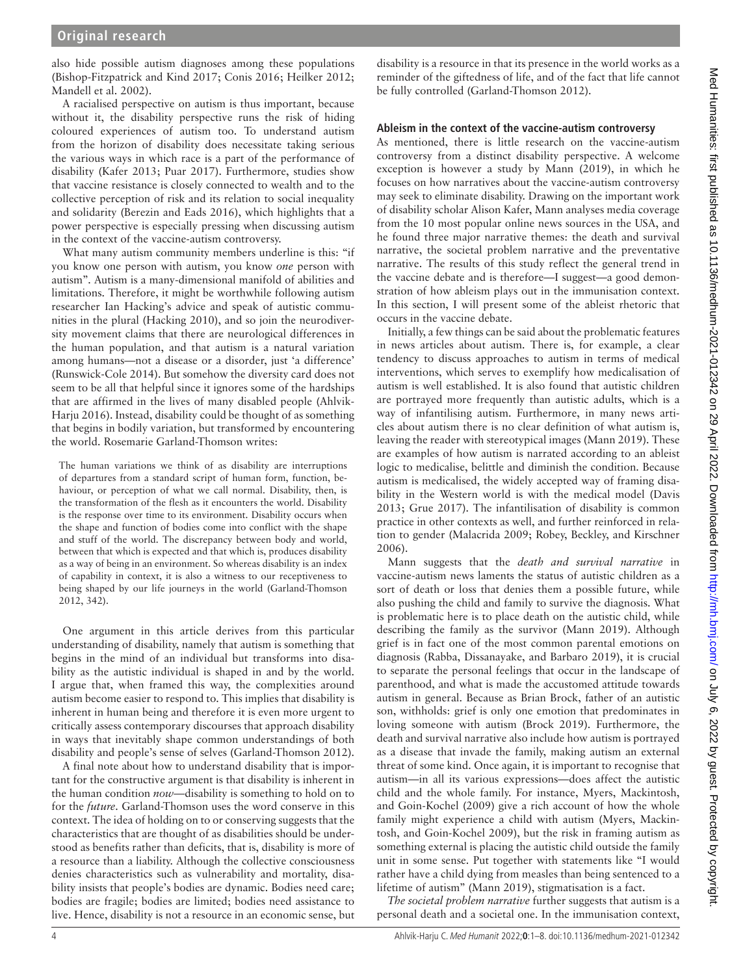also hide possible autism diagnoses among these populations ([Bishop-Fitzpatrick and Kind 2017](#page-6-11); [Conis 2016;](#page-6-2) [Heilker 2012;](#page-7-14) [Mandell et](#page-7-15) al. 2002).

A racialised perspective on autism is thus important, because without it, the disability perspective runs the risk of hiding coloured experiences of autism too. To understand autism from the horizon of disability does necessitate taking serious the various ways in which race is a part of the performance of disability [\(Kafer 2013;](#page-7-16) [Puar 2017](#page-7-17)). Furthermore, studies show that vaccine resistance is closely connected to wealth and to the collective perception of risk and its relation to social inequality and solidarity [\(Berezin and Eads 2016\)](#page-6-12), which highlights that a power perspective is especially pressing when discussing autism in the context of the vaccine-autism controversy.

What many autism community members underline is this: "if you know one person with autism, you know *one* person with autism". Autism is a many-dimensional manifold of abilities and limitations. Therefore, it might be worthwhile following autism researcher Ian Hacking's advice and speak of autistic communities in the plural [\(Hacking 2010\)](#page-7-18), and so join the neurodiversity movement claims that there are neurological differences in the human population, and that autism is a natural variation among humans—not a disease or a disorder, just 'a difference' ([Runswick-Cole 2014\)](#page-7-19). But somehow the diversity card does not seem to be all that helpful since it ignores some of the hardships that are affirmed in the lives of many disabled people [\(Ahlvik-](#page-6-9)[Harju 2016](#page-6-9)). Instead, disability could be thought of as something that begins in bodily variation, but transformed by encountering the world. Rosemarie Garland-Thomson writes:

The human variations we think of as disability are interruptions of departures from a standard script of human form, function, behaviour, or perception of what we call normal. Disability, then, is the transformation of the flesh as it encounters the world. Disability is the response over time to its environment. Disability occurs when the shape and function of bodies come into conflict with the shape and stuff of the world. The discrepancy between body and world, between that which is expected and that which is, produces disability as a way of being in an environment. So whereas disability is an index of capability in context, it is also a witness to our receptiveness to being shaped by our life journeys in the world [\(Garland-Thomson](#page-6-10)  [2012,](#page-6-10) 342).

One argument in this article derives from this particular understanding of disability, namely that autism is something that begins in the mind of an individual but transforms into disability as the autistic individual is shaped in and by the world. I argue that, when framed this way, the complexities around autism become easier to respond to. This implies that disability is inherent in human being and therefore it is even more urgent to critically assess contemporary discourses that approach disability in ways that inevitably shape common understandings of both disability and people's sense of selves [\(Garland-Thomson 2012](#page-6-10)).

A final note about how to understand disability that is important for the constructive argument is that disability is inherent in the human condition *now*—disability is something to hold on to for the *future*. Garland-Thomson uses the word conserve in this context. The idea of holding on to or conserving suggests that the characteristics that are thought of as disabilities should be understood as benefits rather than deficits, that is, disability is more of a resource than a liability. Although the collective consciousness denies characteristics such as vulnerability and mortality, disability insists that people's bodies are dynamic. Bodies need care; bodies are fragile; bodies are limited; bodies need assistance to live. Hence, disability is not a resource in an economic sense, but

disability is a resource in that its presence in the world works as a reminder of the giftedness of life, and of the fact that life cannot be fully controlled [\(Garland-Thomson 2012\)](#page-6-10).

## **Ableism in the context of the vaccine-autism controversy**

As mentioned, there is little research on the vaccine-autism controversy from a distinct disability perspective. A welcome exception is however a study by [Mann \(2019\)](#page-7-7), in which he focuses on how narratives about the vaccine-autism controversy may seek to eliminate disability. Drawing on the important work of disability scholar Alison Kafer, Mann analyses media coverage from the 10 most popular online news sources in the USA, and he found three major narrative themes: the death and survival narrative, the societal problem narrative and the preventative narrative. The results of this study reflect the general trend in the vaccine debate and is therefore—I suggest—a good demonstration of how ableism plays out in the immunisation context. In this section, I will present some of the ableist rhetoric that occurs in the vaccine debate.

Initially, a few things can be said about the problematic features in news articles about autism. There is, for example, a clear tendency to discuss approaches to autism in terms of medical interventions, which serves to exemplify how medicalisation of autism is well established. It is also found that autistic children are portrayed more frequently than autistic adults, which is a way of infantilising autism. Furthermore, in many news articles about autism there is no clear definition of what autism is, leaving the reader with stereotypical images ([Mann 2019](#page-7-7)). These are examples of how autism is narrated according to an ableist logic to medicalise, belittle and diminish the condition. Because autism is medicalised, the widely accepted way of framing disability in the Western world is with the medical model ([Davis](#page-6-13) [2013;](#page-6-13) [Grue 2017](#page-7-20)). The infantilisation of disability is common practice in other contexts as well, and further reinforced in relation to gender [\(Malacrida 2009](#page-7-21); [Robey, Beckley, and Kirschner](#page-7-22) [2006\)](#page-7-22).

Mann suggests that the *death and survival narrative* in vaccine-autism news laments the status of autistic children as a sort of death or loss that denies them a possible future, while also pushing the child and family to survive the diagnosis. What is problematic here is to place death on the autistic child, while describing the family as the survivor ([Mann 2019\)](#page-7-7). Although grief is in fact one of the most common parental emotions on diagnosis [\(Rabba, Dissanayake, and Barbaro 2019\)](#page-7-23), it is crucial to separate the personal feelings that occur in the landscape of parenthood, and what is made the accustomed attitude towards autism in general. Because as Brian Brock, father of an autistic son, withholds: grief is only one emotion that predominates in loving someone with autism [\(Brock 2019](#page-6-6)). Furthermore, the death and survival narrative also include how autism is portrayed as a disease that invade the family, making autism an external threat of some kind. Once again, it is important to recognise that autism—in all its various expressions—does affect the autistic child and the whole family. For instance, [Myers, Mackintosh,](#page-7-24) [and Goin-Kochel \(2009\)](#page-7-24) give a rich account of how the whole family might experience a child with autism [\(Myers, Mackin](#page-7-24)[tosh, and Goin-Kochel 2009\)](#page-7-24), but the risk in framing autism as something external is placing the autistic child outside the family unit in some sense. Put together with statements like "I would rather have a child dying from measles than being sentenced to a lifetime of autism" [\(Mann 2019\)](#page-7-7), stigmatisation is a fact.

*The societal problem narrative* further suggests that autism is a personal death and a societal one. In the immunisation context,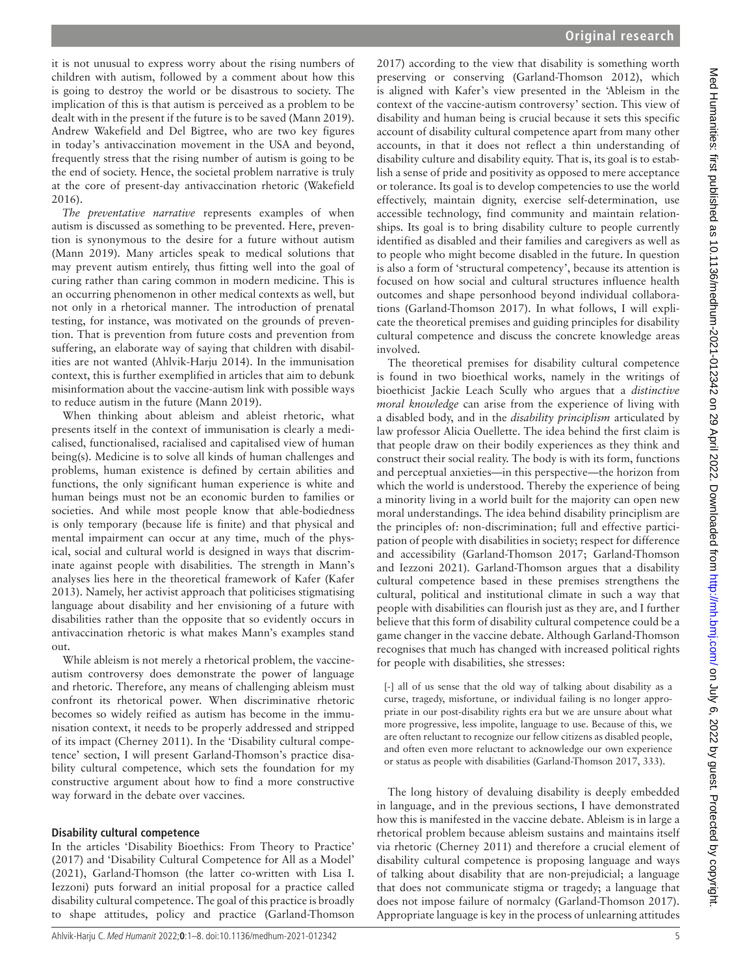it is not unusual to express worry about the rising numbers of children with autism, followed by a comment about how this is going to destroy the world or be disastrous to society. The implication of this is that autism is perceived as a problem to be dealt with in the present if the future is to be saved [\(Mann 2019](#page-7-7)). Andrew Wakefield and Del Bigtree, who are two key figures in today's antivaccination movement in the USA and beyond, frequently stress that the rising number of autism is going to be the end of society. Hence, the societal problem narrative is truly at the core of present-day antivaccination rhetoric [\(Wakefield](#page-7-25)  [2016](#page-7-25)).

*The preventative narrative* represents examples of when autism is discussed as something to be prevented. Here, prevention is synonymous to the desire for a future without autism ([Mann 2019\)](#page-7-7). Many articles speak to medical solutions that may prevent autism entirely, thus fitting well into the goal of curing rather than caring common in modern medicine. This is an occurring phenomenon in other medical contexts as well, but not only in a rhetorical manner. The introduction of prenatal testing, for instance, was motivated on the grounds of prevention. That is prevention from future costs and prevention from suffering, an elaborate way of saying that children with disabilities are not wanted [\(Ahlvik-Harju 2014](#page-6-14)). In the immunisation context, this is further exemplified in articles that aim to debunk misinformation about the vaccine-autism link with possible ways to reduce autism in the future [\(Mann 2019\)](#page-7-7).

When thinking about ableism and ableist rhetoric, what presents itself in the context of immunisation is clearly a medicalised, functionalised, racialised and capitalised view of human being(s). Medicine is to solve all kinds of human challenges and problems, human existence is defined by certain abilities and functions, the only significant human experience is white and human beings must not be an economic burden to families or societies. And while most people know that able-bodiedness is only temporary (because life is finite) and that physical and mental impairment can occur at any time, much of the physical, social and cultural world is designed in ways that discriminate against people with disabilities. The strength in Mann's analyses lies here in the theoretical framework of Kafer [\(Kafer](#page-7-16)  [2013](#page-7-16)). Namely, her activist approach that politicises stigmatising language about disability and her envisioning of a future with disabilities rather than the opposite that so evidently occurs in antivaccination rhetoric is what makes Mann's examples stand out.

While ableism is not merely a rhetorical problem, the vaccineautism controversy does demonstrate the power of language and rhetoric. Therefore, any means of challenging ableism must confront its rhetorical power. When discriminative rhetoric becomes so widely reified as autism has become in the immunisation context, it needs to be properly addressed and stripped of its impact [\(Cherney 2011\)](#page-6-15). In the 'Disability cultural competence' section, I will present Garland-Thomson's practice disability cultural competence, which sets the foundation for my constructive argument about how to find a more constructive way forward in the debate over vaccines.

## **Disability cultural competence**

In the articles 'Disability Bioethics: From Theory to Practice' (2017) and 'Disability Cultural Competence for All as a Model' (2021), Garland-Thomson (the latter co-written with Lisa I. Iezzoni) puts forward an initial proposal for a practice called disability cultural competence. The goal of this practice is broadly to shape attitudes, policy and practice [\(Garland-Thomson](#page-6-16) 

[2017\)](#page-6-16) according to the view that disability is something worth preserving or conserving [\(Garland-Thomson 2012\)](#page-6-10), which is aligned with Kafer's view presented in the 'Ableism in the context of the vaccine-autism controversy' section. This view of disability and human being is crucial because it sets this specific account of disability cultural competence apart from many other accounts, in that it does not reflect a thin understanding of disability culture and disability equity. That is, its goal is to establish a sense of pride and positivity as opposed to mere acceptance or tolerance. Its goal is to develop competencies to use the world effectively, maintain dignity, exercise self-determination, use accessible technology, find community and maintain relationships. Its goal is to bring disability culture to people currently identified as disabled and their families and caregivers as well as to people who might become disabled in the future. In question is also a form of 'structural competency', because its attention is focused on how social and cultural structures influence health outcomes and shape personhood beyond individual collaborations [\(Garland-Thomson 2017\)](#page-6-16). In what follows, I will explicate the theoretical premises and guiding principles for disability cultural competence and discuss the concrete knowledge areas involved.

The theoretical premises for disability cultural competence is found in two bioethical works, namely in the writings of bioethicist Jackie Leach Scully who argues that a *distinctive moral knowledge* can arise from the experience of living with a disabled body, and in the *disability principlism* articulated by law professor Alicia Ouellette. The idea behind the first claim is that people draw on their bodily experiences as they think and construct their social reality. The body is with its form, functions and perceptual anxieties—in this perspective—the horizon from which the world is understood. Thereby the experience of being a minority living in a world built for the majority can open new moral understandings. The idea behind disability principlism are the principles of: non-discrimination; full and effective participation of people with disabilities in society; respect for difference and accessibility [\(Garland-Thomson 2017;](#page-6-16) [Garland-Thomson](#page-6-17) [and Iezzoni 2021](#page-6-17)). Garland-Thomson argues that a disability cultural competence based in these premises strengthens the cultural, political and institutional climate in such a way that people with disabilities can flourish just as they are, and I further believe that this form of disability cultural competence could be a game changer in the vaccine debate. Although Garland-Thomson recognises that much has changed with increased political rights for people with disabilities, she stresses:

[-] all of us sense that the old way of talking about disability as a curse, tragedy, misfortune, or individual failing is no longer appropriate in our post-disability rights era but we are unsure about what more progressive, less impolite, language to use. Because of this, we are often reluctant to recognize our fellow citizens as disabled people, and often even more reluctant to acknowledge our own experience or status as people with disabilities [\(Garland-Thomson 2017, 333\)](#page-6-16).

The long history of devaluing disability is deeply embedded in language, and in the previous sections, I have demonstrated how this is manifested in the vaccine debate. Ableism is in large a rhetorical problem because ableism sustains and maintains itself via rhetoric ([Cherney 2011\)](#page-6-15) and therefore a crucial element of disability cultural competence is proposing language and ways of talking about disability that are non-prejudicial; a language that does not communicate stigma or tragedy; a language that does not impose failure of normalcy [\(Garland-Thomson 2017\)](#page-6-16). Appropriate language is key in the process of unlearning attitudes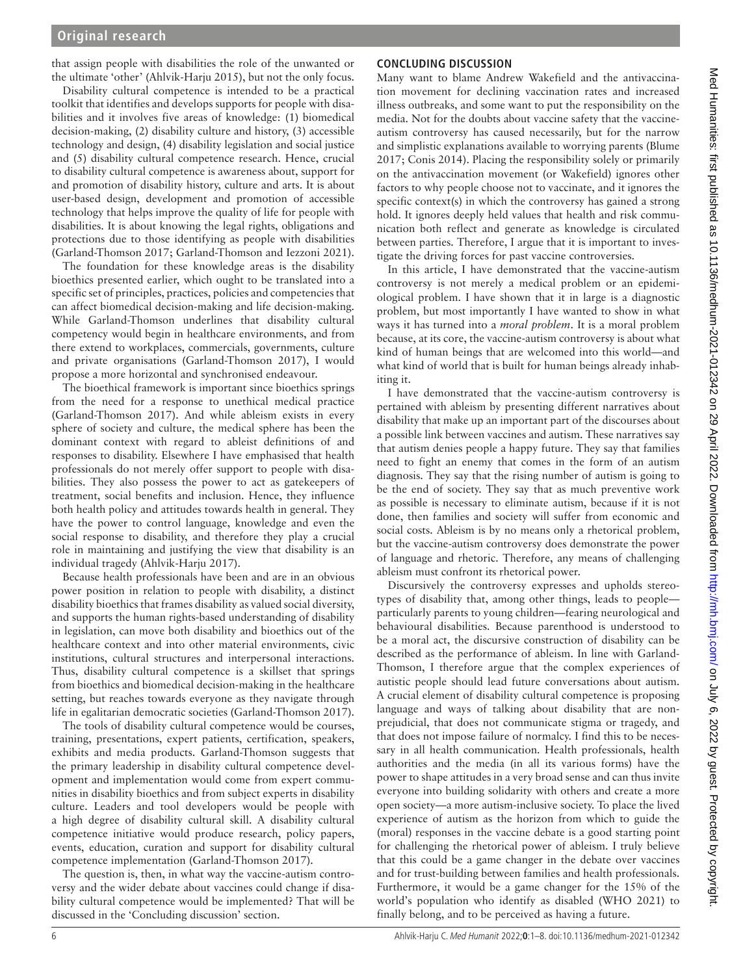that assign people with disabilities the role of the unwanted or the ultimate 'other' [\(Ahlvik-Harju 2015](#page-6-18)), but not the only focus.

Disability cultural competence is intended to be a practical toolkit that identifies and develops supports for people with disabilities and it involves five areas of knowledge: (1) biomedical decision-making, (2) disability culture and history, (3) accessible technology and design, (4) disability legislation and social justice and (5) disability cultural competence research. Hence, crucial to disability cultural competence is awareness about, support for and promotion of disability history, culture and arts. It is about user-based design, development and promotion of accessible technology that helps improve the quality of life for people with disabilities. It is about knowing the legal rights, obligations and protections due to those identifying as people with disabilities ([Garland-Thomson 2017;](#page-6-16) [Garland-Thomson and Iezzoni 2021](#page-6-17)).

The foundation for these knowledge areas is the disability bioethics presented earlier, which ought to be translated into a specific set of principles, practices, policies and competencies that can affect biomedical decision-making and life decision-making. While Garland-Thomson underlines that disability cultural competency would begin in healthcare environments, and from there extend to workplaces, commercials, governments, culture and private organisations [\(Garland-Thomson 2017](#page-6-16)), I would propose a more horizontal and synchronised endeavour.

The bioethical framework is important since bioethics springs from the need for a response to unethical medical practice ([Garland-Thomson 2017](#page-6-16)). And while ableism exists in every sphere of society and culture, the medical sphere has been the dominant context with regard to ableist definitions of and responses to disability. Elsewhere I have emphasised that health professionals do not merely offer support to people with disabilities. They also possess the power to act as gatekeepers of treatment, social benefits and inclusion. Hence, they influence both health policy and attitudes towards health in general. They have the power to control language, knowledge and even the social response to disability, and therefore they play a crucial role in maintaining and justifying the view that disability is an individual tragedy [\(Ahlvik-Harju 2017](#page-6-19)).

Because health professionals have been and are in an obvious power position in relation to people with disability, a distinct disability bioethics that frames disability as valued social diversity, and supports the human rights-based understanding of disability in legislation, can move both disability and bioethics out of the healthcare context and into other material environments, civic institutions, cultural structures and interpersonal interactions. Thus, disability cultural competence is a skillset that springs from bioethics and biomedical decision-making in the healthcare setting, but reaches towards everyone as they navigate through life in egalitarian democratic societies ([Garland-Thomson 2017](#page-6-16)).

The tools of disability cultural competence would be courses, training, presentations, expert patients, certification, speakers, exhibits and media products. Garland-Thomson suggests that the primary leadership in disability cultural competence development and implementation would come from expert communities in disability bioethics and from subject experts in disability culture. Leaders and tool developers would be people with a high degree of disability cultural skill. A disability cultural competence initiative would produce research, policy papers, events, education, curation and support for disability cultural competence implementation ([Garland-Thomson 2017\)](#page-6-16).

The question is, then, in what way the vaccine-autism controversy and the wider debate about vaccines could change if disability cultural competence would be implemented? That will be discussed in the 'Concluding discussion' section.

# **CONCLUDING DISCUSSION**

Many want to blame Andrew Wakefield and the antivaccination movement for declining vaccination rates and increased illness outbreaks, and some want to put the responsibility on the media. Not for the doubts about vaccine safety that the vaccineautism controversy has caused necessarily, but for the narrow and simplistic explanations available to worrying parents ([Blume](#page-6-5) [2017;](#page-6-5) [Conis 2014\)](#page-6-4). Placing the responsibility solely or primarily on the antivaccination movement (or Wakefield) ignores other factors to why people choose not to vaccinate, and it ignores the specific context(s) in which the controversy has gained a strong hold. It ignores deeply held values that health and risk communication both reflect and generate as knowledge is circulated between parties. Therefore, I argue that it is important to investigate the driving forces for past vaccine controversies.

In this article, I have demonstrated that the vaccine-autism controversy is not merely a medical problem or an epidemiological problem. I have shown that it in large is a diagnostic problem, but most importantly I have wanted to show in what ways it has turned into a *moral problem*. It is a moral problem because, at its core, the vaccine-autism controversy is about what kind of human beings that are welcomed into this world—and what kind of world that is built for human beings already inhabiting it.

I have demonstrated that the vaccine-autism controversy is pertained with ableism by presenting different narratives about disability that make up an important part of the discourses about a possible link between vaccines and autism. These narratives say that autism denies people a happy future. They say that families need to fight an enemy that comes in the form of an autism diagnosis. They say that the rising number of autism is going to be the end of society. They say that as much preventive work as possible is necessary to eliminate autism, because if it is not done, then families and society will suffer from economic and social costs. Ableism is by no means only a rhetorical problem, but the vaccine-autism controversy does demonstrate the power of language and rhetoric. Therefore, any means of challenging ableism must confront its rhetorical power.

Discursively the controversy expresses and upholds stereotypes of disability that, among other things, leads to people particularly parents to young children—fearing neurological and behavioural disabilities. Because parenthood is understood to be a moral act, the discursive construction of disability can be described as the performance of ableism. In line with Garland-Thomson, I therefore argue that the complex experiences of autistic people should lead future conversations about autism. A crucial element of disability cultural competence is proposing language and ways of talking about disability that are nonprejudicial, that does not communicate stigma or tragedy, and that does not impose failure of normalcy. I find this to be necessary in all health communication. Health professionals, health authorities and the media (in all its various forms) have the power to shape attitudes in a very broad sense and can thus invite everyone into building solidarity with others and create a more open society—a more autism-inclusive society. To place the lived experience of autism as the horizon from which to guide the (moral) responses in the vaccine debate is a good starting point for challenging the rhetorical power of ableism. I truly believe that this could be a game changer in the debate over vaccines and for trust-building between families and health professionals. Furthermore, it would be a game changer for the 15% of the world's population who identify as disabled [\(WHO 2021](#page-7-26)) to finally belong, and to be perceived as having a future.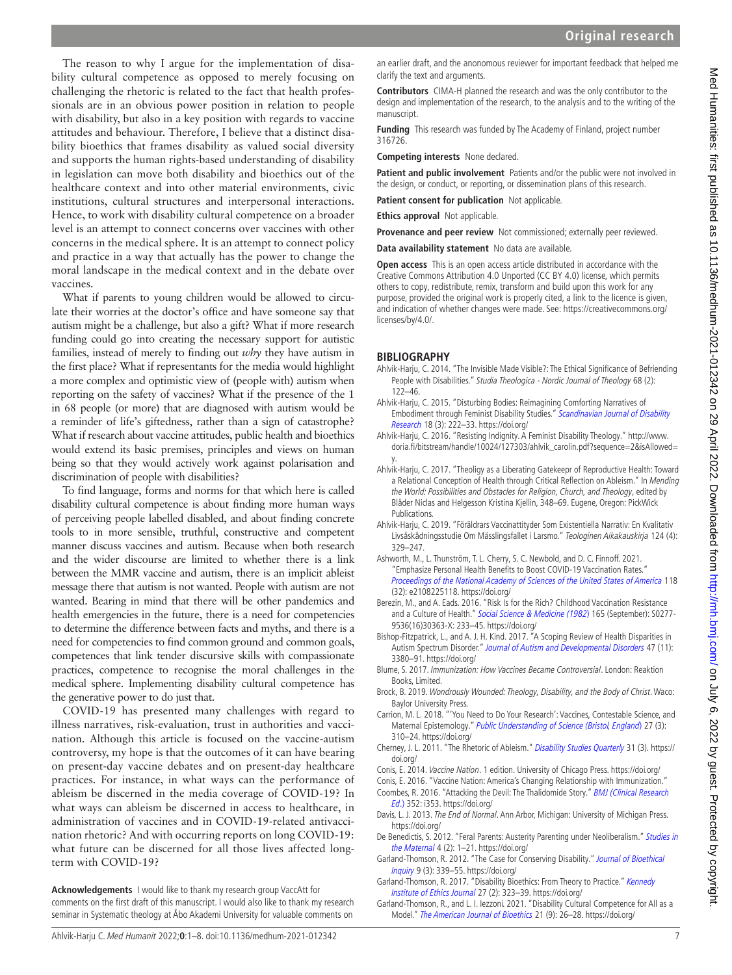The reason to why I argue for the implementation of disability cultural competence as opposed to merely focusing on challenging the rhetoric is related to the fact that health professionals are in an obvious power position in relation to people with disability, but also in a key position with regards to vaccine attitudes and behaviour. Therefore, I believe that a distinct disability bioethics that frames disability as valued social diversity and supports the human rights-based understanding of disability in legislation can move both disability and bioethics out of the healthcare context and into other material environments, civic institutions, cultural structures and interpersonal interactions. Hence, to work with disability cultural competence on a broader level is an attempt to connect concerns over vaccines with other concerns in the medical sphere. It is an attempt to connect policy and practice in a way that actually has the power to change the moral landscape in the medical context and in the debate over vaccines.

What if parents to young children would be allowed to circulate their worries at the doctor's office and have someone say that autism might be a challenge, but also a gift? What if more research funding could go into creating the necessary support for autistic families, instead of merely to finding out *why* they have autism in the first place? What if representants for the media would highlight a more complex and optimistic view of (people with) autism when reporting on the safety of vaccines? What if the presence of the 1 in 68 people (or more) that are diagnosed with autism would be a reminder of life's giftedness, rather than a sign of catastrophe? What if research about vaccine attitudes, public health and bioethics would extend its basic premises, principles and views on human being so that they would actively work against polarisation and discrimination of people with disabilities?

To find language, forms and norms for that which here is called disability cultural competence is about finding more human ways of perceiving people labelled disabled, and about finding concrete tools to in more sensible, truthful, constructive and competent manner discuss vaccines and autism. Because when both research and the wider discourse are limited to whether there is a link between the MMR vaccine and autism, there is an implicit ableist message there that autism is not wanted. People with autism are not wanted. Bearing in mind that there will be other pandemics and health emergencies in the future, there is a need for competencies to determine the difference between facts and myths, and there is a need for competencies to find common ground and common goals, competences that link tender discursive skills with compassionate practices, competence to recognise the moral challenges in the medical sphere. Implementing disability cultural competence has the generative power to do just that.

COVID-19 has presented many challenges with regard to illness narratives, risk-evaluation, trust in authorities and vaccination. Although this article is focused on the vaccine-autism controversy, my hope is that the outcomes of it can have bearing on present-day vaccine debates and on present-day healthcare practices. For instance, in what ways can the performance of ableism be discerned in the media coverage of COVID-19? In what ways can ableism be discerned in access to healthcare, in administration of vaccines and in COVID-19-related antivaccination rhetoric? And with occurring reports on long COVID-19: what future can be discerned for all those lives affected longterm with COVID-19?

**Acknowledgements** I would like to thank my research group VaccAtt for comments on the first draft of this manuscript. I would also like to thank my research seminar in Systematic theology at Åbo Akademi University for valuable comments on

an earlier draft, and the anonomous reviewer for important feedback that helped me clarify the text and arguments.

**Contributors** CIMA-H planned the research and was the only contributor to the design and implementation of the research, to the analysis and to the writing of the manuscript.

**Funding** This research was funded by The Academy of Finland, project number 316726.

**Competing interests** None declared.

**Patient and public involvement** Patients and/or the public were not involved in the design, or conduct, or reporting, or dissemination plans of this research.

**Patient consent for publication** Not applicable.

**Ethics approval** Not applicable.

**Provenance and peer review** Not commissioned; externally peer reviewed.

**Data availability statement** No data are available.

**Open access** This is an open access article distributed in accordance with the Creative Commons Attribution 4.0 Unported (CC BY 4.0) license, which permits others to copy, redistribute, remix, transform and build upon this work for any purpose, provided the original work is properly cited, a link to the licence is given, and indication of whether changes were made. See: [https://creativecommons.org/](https://creativecommons.org/licenses/by/4.0/) [licenses/by/4.0/.](https://creativecommons.org/licenses/by/4.0/)

### **BIBLIOGRAPHY**

- <span id="page-6-14"></span>Ahlvik-Harju, C. 2014. "The Invisible Made Visible?: The Ethical Significance of Befriending People with Disabilities." Studia Theologica - Nordic Journal of Theology 68 (2): 122–46.
- <span id="page-6-18"></span>Ahlvik-Harju, C. 2015. "Disturbing Bodies: Reimagining Comforting Narratives of Embodiment through Feminist Disability Studies." [Scandinavian Journal of Disability](http://dx.doi.org/10.1080/15017419.2015.1063545)  [Research](http://dx.doi.org/10.1080/15017419.2015.1063545) 18 (3): 222–33. https://doi.org/
- <span id="page-6-9"></span>Ahlvik-Harju, C. 2016. "Resisting Indignity. A Feminist Disability Theology." [http://www.](http://www.doria.fi/bitstream/handle/10024/127303/ahlvik_carolin.pdf?sequence=2&isAllowed=y) [doria.fi/bitstream/handle/10024/127303/ahlvik\\_carolin.pdf?sequence=2&isAllowed=](http://www.doria.fi/bitstream/handle/10024/127303/ahlvik_carolin.pdf?sequence=2&isAllowed=y) [y](http://www.doria.fi/bitstream/handle/10024/127303/ahlvik_carolin.pdf?sequence=2&isAllowed=y).
- <span id="page-6-19"></span>Ahlvik-Harju, C. 2017. "Theoligy as a Liberating Gatekeepr of Reproductive Health: Toward a Relational Conception of Health through Critical Reflection on Ableism." In Mending the World: Possibilities and Obstacles for Religion, Church, and Theology, edited by Blåder Niclas and Helgesson Kristina Kjellin, 348–69. Eugene, Oregon: PickWick Publications.
- <span id="page-6-7"></span>Ahlvik-Harju, C. 2019. "Föräldrars Vaccinattityder Som Existentiella Narrativ: En Kvalitativ Livsåskådningsstudie Om Mässlingsfallet i Larsmo." Teologinen Aikakauskirja 124 (4): 329–247.
- <span id="page-6-1"></span>Ashworth, M., L. Thunström, T. L. Cherry, S. C. Newbold, and D. C. Finnoff. 2021. "Emphasize Personal Health Benefits to Boost COVID-19 Vaccination Rates." [Proceedings of the National Academy of Sciences of the United States of America](http://dx.doi.org/10.1073/pnas.2108225118) 118 (32): e2108225118. https://doi.org/
- <span id="page-6-12"></span>Berezin, M., and A. Eads. 2016. "Risk Is for the Rich? Childhood Vaccination Resistance and a Culture of Health." [Social Science & Medicine \(1982](http://dx.doi.org/10.1016/j.socscimed.2016.07.009)) 165 (September): S0277-9536(16)30363-X: 233–45. https://doi.org/
- <span id="page-6-11"></span>Bishop-Fitzpatrick, L., and A. J. H. Kind. 2017. "A Scoping Review of Health Disparities in Autism Spectrum Disorder." [Journal of Autism and Developmental Disorders](http://dx.doi.org/10.1007/s10803-017-3251-9) 47 (11): 3380–91. https://doi.org/
- <span id="page-6-5"></span>Blume, S. 2017. Immunization: How Vaccines Became Controversial. London: Reaktion Books, Limited.
- <span id="page-6-6"></span>Brock, B. 2019. Wondrously Wounded: Theology, Disability, and the Body of Christ. Waco: Baylor University Press.
- <span id="page-6-3"></span>Carrion, M. L. 2018. "'You Need to Do Your Research': Vaccines, Contestable Science, and Maternal Epistemology." [Public Understanding of Science \(Bristol, England](http://dx.doi.org/10.1177/0963662517728024)) 27 (3): 310–24. https://doi.org/
- <span id="page-6-15"></span>Cherney, J. L. 2011. "The Rhetoric of Ableism." [Disability Studies Quarterly](http://dx.doi.org/10.18061/dsq.v31i3.1665) 31 (3). https:// doi.org/

<span id="page-6-4"></span>Conis, E. 2014. [Vaccine Nation](http://dx.doi.org/10.7208/chicago/9780226923772.001.0001). 1 edition. University of Chicago Press. https://doi.org/

- <span id="page-6-2"></span><span id="page-6-0"></span>Conis, E. 2016. "Vaccine Nation: America's Changing Relationship with Immunization." Coombes, R. 2016. "Attacking the Devil: The Thalidomide Story." [BMJ \(Clinical Research](http://dx.doi.org/10.1136/bmj.i353)  [Ed](http://dx.doi.org/10.1136/bmj.i353).) 352: i353. https://doi.org/
- <span id="page-6-13"></span>Davis, L. J. 2013. [The End of Normal](http://dx.doi.org/10.3998/mpub.5608008). Ann Arbor, Michigan: University of Michigan Press. https://doi.org/
- <span id="page-6-8"></span>De Benedictis, S. 2012. "Feral Parents: Austerity Parenting under Neoliberalism." Studies in [the Maternal](http://dx.doi.org/10.16995/sim.40) 4 (2): 1–21. https://doi.org/
- <span id="page-6-10"></span>Garland-Thomson, R. 2012. "The Case for Conserving Disability." [Journal of Bioethical](http://dx.doi.org/10.1007/s11673-012-9380-0)  [Inquiry](http://dx.doi.org/10.1007/s11673-012-9380-0) 9 (3): 339–55. https://doi.org/
- <span id="page-6-16"></span>Garland-Thomson, R. 2017. "Disability Bioethics: From Theory to Practice." Kennedy [Institute of Ethics Journal](http://dx.doi.org/10.1353/ken.2017.0020) 27 (2): 323–39. https://doi.org/
- <span id="page-6-17"></span>Garland-Thomson, R., and L. I. Iezzoni. 2021. "Disability Cultural Competence for All as a Model." [The American Journal of Bioethics](http://dx.doi.org/10.1080/15265161.2021.1958652) 21 (9): 26–28. https://doi.org/